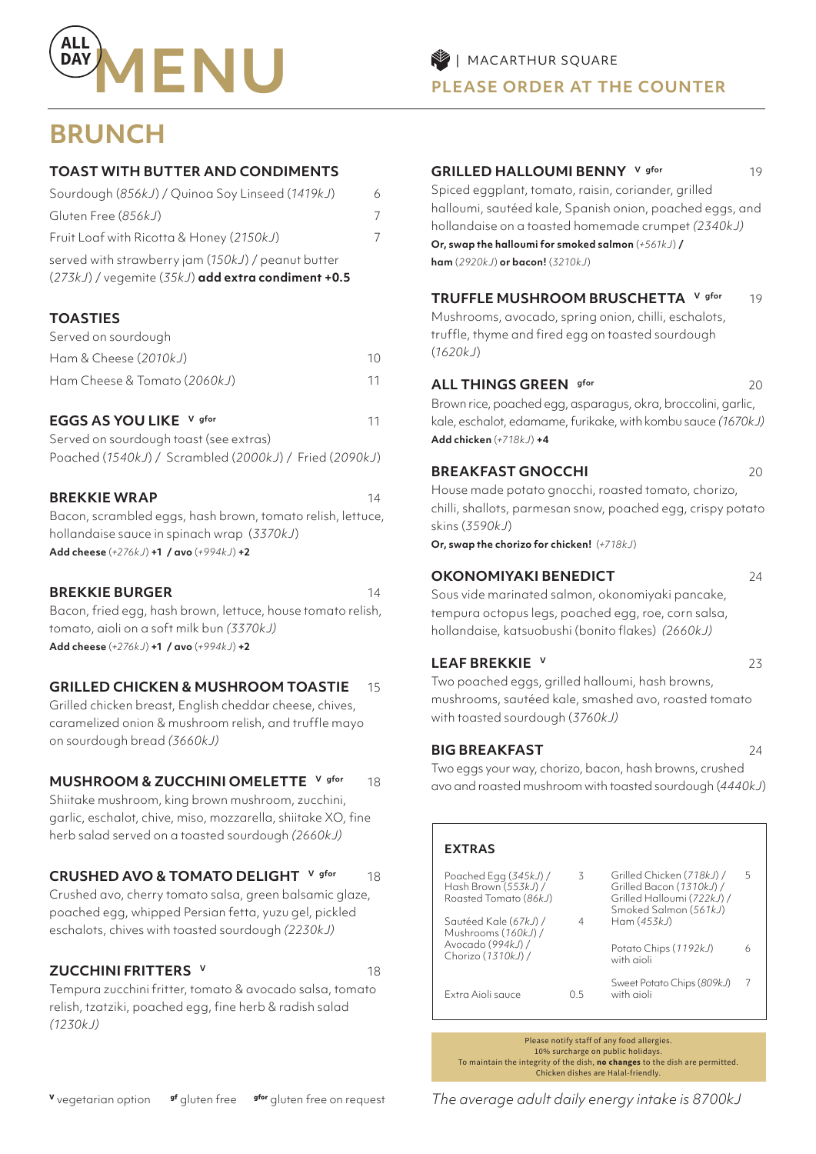

## **BRUNCH**

### **TOAST WITH BUTTER AND CONDIMENTS**

| Sourdough (856kJ) / Quinoa Soy Linseed (1419kJ)                                                          | 6 |
|----------------------------------------------------------------------------------------------------------|---|
| Gluten Free (856kJ)                                                                                      | 7 |
| Fruit Loaf with Ricotta & Honey (2150kJ)                                                                 |   |
| served with strawberry jam (150kJ) / peanut butter<br>(273kJ) / vegemite (35kJ) add extra condiment +0.5 |   |

### **TOASTIES**

| Served on sourdough          |    |
|------------------------------|----|
| Ham & Cheese (2010kJ)        | 10 |
| Ham Cheese & Tomato (2060kJ) | 11 |

### **EGGS AS YOU LIKE** V gfor 11

| Served on sourdough toast (see extras) |                                                        |  |
|----------------------------------------|--------------------------------------------------------|--|
|                                        | Poached (1540kJ) / Scrambled (2000kJ) / Fried (2090kJ) |  |

### **BREKKIE WRAP** 14

Bacon, scrambled eggs, hash brown, tomato relish, lettuce, hollandaise sauce in spinach wrap (*3370kJ*) **Add cheese** (*+276kJ*) **+1 / avo** (*+994kJ*) **+2**

### **BREKKIE BURGER 14**

Bacon, fried egg, hash brown, lettuce, house tomato relish, tomato, aioli on a soft milk bun *(3370kJ)* **Add cheese** (*+276kJ*) **+1 / avo** (*+994kJ*) **+2**

### **GRILLED CHICKEN & MUSHROOM TOASTIE** 15

Grilled chicken breast, English cheddar cheese, chives, caramelized onion & mushroom relish, and truffle mayo on sourdough bread *(3660kJ)*

### **MUSHROOM & ZUCCHINI OMELETTE V gfor 18**

Shiitake mushroom, king brown mushroom, zucchini, garlic, eschalot, chive, miso, mozzarella, shiitake XO, fine herb salad served on a toasted sourdough *(2660kJ)*

### **CRUSHED AVO & TOMATO DELIGHT** V gfor 18

Crushed avo, cherry tomato salsa, green balsamic glaze, poached egg, whipped Persian fetta, yuzu gel, pickled eschalots, chives with toasted sourdough *(2230kJ)*

### **ZUCCHINI FRITTERS V** 18

Tempura zucchini fritter, tomato & avocado salsa, tomato relish, tzatziki, poached egg, fine herb & radish salad *(1230kJ)*

### **GRILLED HALLOUMI BENNY** V gfor 19

Spiced eggplant, tomato, raisin, coriander, grilled halloumi, sautéed kale, Spanish onion, poached eggs, and hollandaise on a toasted homemade crumpet *(2340kJ)* **Or, swap the halloumi for smoked salmon** (*+561kJ*) **/ ham** (*2920kJ*) **or bacon!** (*3210kJ*)

### **TRUFFLE MUSHROOM BRUSCHETTA** V gfor 19

Mushrooms, avocado, spring onion, chilli, eschalots, truffle, thyme and fired egg on toasted sourdough (*1620kJ*)

### **ALL THINGS GREEN** gfor 20 20

Brown rice, poached egg, asparagus, okra, broccolini, garlic, kale, eschalot, edamame, furikake, with kombu sauce *(1670kJ)*  **Add chicken** (*+718kJ*) **+4**

### **BREAKFAST GNOCCHI** 20

House made potato gnocchi, roasted tomato, chorizo, chilli, shallots, parmesan snow, poached egg, crispy potato skins (*3590kJ*)

**Or, swap the chorizo for chicken!** (*+718kJ*)

### **OKONOMIYAKI BENEDICT** 24

Sous vide marinated salmon, okonomiyaki pancake, tempura octopus legs, poached egg, roe, corn salsa, hollandaise, katsuobushi (bonito flakes) *(2660kJ)*

### **LEAF BREKKIE** V 23

Two poached eggs, grilled halloumi, hash browns, mushrooms, sautéed kale, smashed avo, roasted tomato with toasted sourdough (*3760kJ)*

### **BIG BREAKFAST** 24

Two eggs your way, chorizo, bacon, hash browns, crushed avo and roasted mushroom with toasted sourdough (*4440kJ*)

| <b>EXTRAS</b>                                                                |     |                                                                                                              |   |
|------------------------------------------------------------------------------|-----|--------------------------------------------------------------------------------------------------------------|---|
| Poached Egg $(345k$ J $)$ /<br>Hash Brown (553kJ) /<br>Roasted Tomato (86kJ) | 3   | Grilled Chicken (718kJ) /<br>Grilled Bacon (1310kJ) /<br>Grilled Halloumi (722kJ) /<br>Smoked Salmon (561kJ) | 5 |
| Sautéed Kale (67kJ) /<br>Mushrooms (160kJ) /                                 | 4   | Ham(453kJ)                                                                                                   |   |
| Avocado (994kJ) /<br>Chorizo (1310kJ) /                                      |     | Potato Chips (1192kJ)<br>with aioli                                                                          |   |
| Extra Aioli sauce                                                            | ל ( | Sweet Potato Chips (809kJ)<br>with aioli                                                                     |   |

Please notify staff of any food allergies. 10% surcharge on public holidays. To maintain the integrity of the dish, **no changes** to the dish are permitted. Chicken dishes are Halal-friendly.

*The average adult daily energy intake is 8700kJ*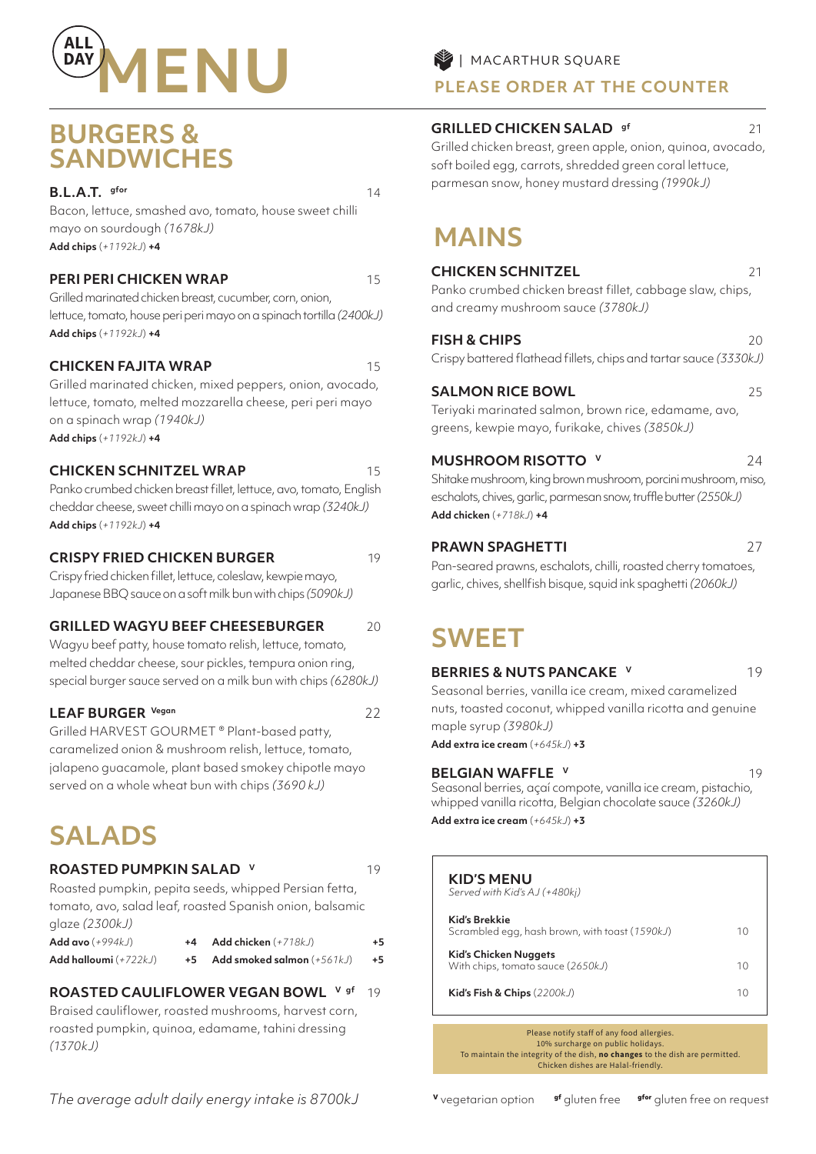

## **BURGERS & SANDWICHES**

**B.L.A.T.** gfor 14

Bacon, lettuce, smashed avo, tomato, house sweet chilli mayo on sourdough *(1678kJ)*  **Add chips** (*+1192kJ*) **+4**

### **PERI PERI CHICKEN WRAP** 15

Grilled marinated chicken breast, cucumber, corn, onion, lettuce, tomato, house peri peri mayo on a spinach tortilla *(2400kJ)*  **Add chips** (*+1192kJ*) **+4**

### **CHICKEN FAJITA WRAP** 15

Grilled marinated chicken, mixed peppers, onion, avocado, lettuce, tomato, melted mozzarella cheese, peri peri mayo on a spinach wrap *(1940kJ)* **Add chips** (*+1192kJ*) **+4**

### **CHICKEN SCHNITZEL WRAP** 15

Panko crumbed chicken breast fillet, lettuce, avo, tomato, English cheddar cheese, sweet chilli mayo on a spinach wrap *(3240kJ)*  **Add chips** (*+1192kJ*) **+4**

### **CRISPY FRIED CHICKEN BURGER** 19

Crispy fried chicken fillet, lettuce, coleslaw, kewpie mayo, Japanese BBQ sauce on a soft milk bun with chips *(5090kJ)*

### **GRILLED WAGYU BEEF CHEESEBURGER** 20

Wagyu beef patty, house tomato relish, lettuce, tomato, melted cheddar cheese, sour pickles, tempura onion ring, special burger sauce served on a milk bun with chips *(6280kJ)* 

### LEAF BURGER Vegan 22

Grilled HARVEST GOURMET ® Plant-based patty, caramelized onion & mushroom relish, lettuce, tomato, jalapeno guacamole, plant based smokey chipotle mayo served on a whole wheat bun with chips *(3690 kJ)*

# **SALADS**

### **ROASTED PUMPKIN SALAD V** 19

Roasted pumpkin, pepita seeds, whipped Persian fetta, tomato, avo, salad leaf, roasted Spanish onion, balsamic glaze *(2300kJ)* 

| <b>Add avo</b> (+994kJ) .    | +4 | Add chicken $(+718kJ)$       | +5 |
|------------------------------|----|------------------------------|----|
| <b>Add halloumi</b> (+722kJ) |    | Add smoked salmon $(+561kJ)$ | +5 |

### **ROASTED CAULIFLOWER VEGAN BOWL V gf** 19

Braised cauliflower, roasted mushrooms, harvest corn, roasted pumpkin, quinoa, edamame, tahini dressing *(1370kJ)* 

### **PLEASE ORDER AT THE COUNTER**

### **GRILLED CHICKEN SALAD** <sup>gf</sup> 21

Grilled chicken breast, green apple, onion, quinoa, avocado, soft boiled egg, carrots, shredded green coral lettuce, parmesan snow, honey mustard dressing *(1990kJ)*

# **MAINS**

### **CHICKEN SCHNITZEL** 21

Panko crumbed chicken breast fillet, cabbage slaw, chips, and creamy mushroom sauce *(3780kJ)* 

### **FISH & CHIPS** 20

Crispy battered flathead fillets, chips and tartar sauce *(3330kJ)* 

### **SALMON RICE BOWL** 25

Teriyaki marinated salmon, brown rice, edamame, avo, greens, kewpie mayo, furikake, chives *(3850kJ)* 

### **MUSHROOM RISOTTO V** 24

Shitake mushroom, king brown mushroom, porcini mushroom, miso, eschalots, chives, garlic, parmesan snow, truffle butter *(2550kJ)*  **Add chicken** (*+718kJ*) **+4**

### **PRAWN SPAGHETTI** 27

Pan-seared prawns, eschalots, chilli, roasted cherry tomatoes, garlic, chives, shellfish bisque, squid ink spaghetti *(2060kJ)*

# **SWEET**

### **BERRIES & NUTS PANCAKE V** 19

Seasonal berries, vanilla ice cream, mixed caramelized nuts, toasted coconut, whipped vanilla ricotta and genuine maple syrup *(3980kJ)* 

**Add extra ice cream** (*+645kJ*) **+3**

### **BELGIAN WAFFLE V** 19

Seasonal berries, açaí compote, vanilla ice cream, pistachio, whipped vanilla ricotta, Belgian chocolate sauce *(3260kJ)* **Add extra ice cream** (*+645kJ*) **+3**

| <b>KID'S MENU</b><br>Served with Kid's AJ (+480kj)              |    |
|-----------------------------------------------------------------|----|
| Kid's Brekkie<br>Scrambled egg, hash brown, with toast (1590kJ) | 10 |
| Kid's Chicken Nuggets<br>With chips, tomato sauce (2650kJ)      | 10 |
| Kid's Fish & Chips $(2200kJ)$                                   | 10 |

Please notify staff of any food allergies. 10% surcharge on public holidays. To maintain the integrity of the dish, **no changes** to the dish are permitted. Chicken dishes are Halal-friendly.